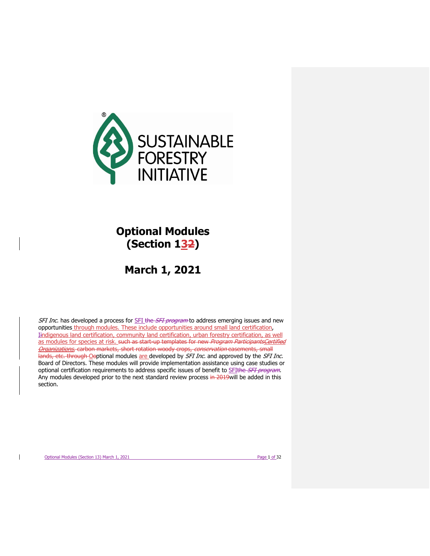

# **Optional Modules (Section 132)**

# **March 1, 2021**

SFI Inc. has developed a process for SFI the SFI program to address emerging issues and new opportunities through modules. These include opportunities around small land certification, Iindigenous land certification, community land certification, urban forestry certification, as well as modules for species at risk. such as start-up templates for new Program ParticipantsCertified Organizations, carbon markets, short rotation woody crops, conservation easements, small lands, etc. through Ooptional modules are developed by SFI Inc. and approved by the SFI Inc. Board of Directors. These modules will provide implementation assistance using case studies or optional certification requirements to address specific issues of benefit to SFIthe SFI program. Any modules developed prior to the next standard review process in 2019 will be added in this section.

 $\overline{\phantom{a}}$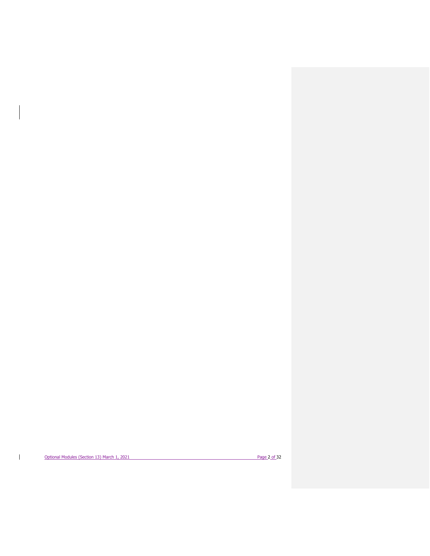Optional Modules (Section 13) March 1, 2021 Page 2 of 32

 $\mathbf{I}$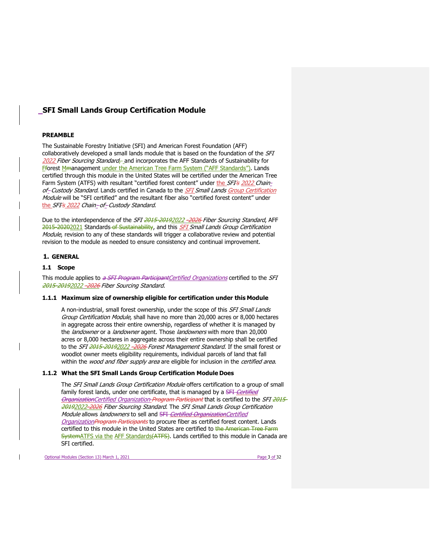# **SFI Small Lands Group Certification Module**

# **PREAMBLE**

The Sustainable Forestry Initiative (SFI) and American Forest Foundation (AFF) collaboratively developed a small lands module that is based on the foundation of the SFI 2022 Fiber Sourcing Standard, and incorporates the AFF Standards of Sustainability for Fforest Mmanagement under the American Tree Farm System ("AFF Standards"). Lands certified through this module in the United States will be certified under the American Tree Farm System (ATFS) with resultant "certified forest content" under the SFI's 2022 Chainof-Custody Standard. Lands certified in Canada to the **SFI Small Lands Group Certification** Module will be "SFI certified" and the resultant fiber also "certified forest content" under the SFI's 2022 Chain-of-Custody Standard.

Due to the interdependence of the SFI 2015 20192022 - 2026 Fiber Sourcing Standard, AFF 2015-20202021 Standards of Sustainability, and this SFI Small Lands Group Certification Module, revision to any of these standards will trigger a collaborative review and potential revision to the module as needed to ensure consistency and continual improvement.

#### **1. GENERAL**

#### **1.1 Scope**

This module applies to a SFI Program ParticipantCertified Organizations certified to the SFI 2015-20192022 - 2026 Fiber Sourcing Standard.

#### **1.1.1 Maximum size of ownership eligible for certification under this Module**

A non-industrial, small forest ownership, under the scope of this SFI Small Lands Group Certification Module, shall have no more than 20,000 acres or 8,000 hectares in aggregate across their entire ownership, regardless of whether it is managed by the *landowner* or a *landowner* agent. Those *landowners* with more than 20,000 acres or 8,000 hectares in aggregate across their entire ownership shall be certified to the SFI 2015-20192022 -2026 Forest Management Standard. If the small forest or woodlot owner meets eligibility requirements, individual parcels of land that fall within the wood and fiber supply area are eligible for inclusion in the certified area.

#### **1.1.2 What the SFI Small Lands Group Certification Module Does**

The SFI Small Lands Group Certification Module offers certification to a group of small family forest lands, under one certificate, that is managed by a SFI Certified OrganizationCertified Organization Program Participant that is certified to the SFI 2015-20192022-2026 Fiber Sourcing Standard. The SFI Small Lands Group Certification Module allows landowners to sell and SFI Certified OrganizationCertified OrganizationProgram Participants to procure fiber as certified forest content. Lands certified to this module in the United States are certified to the American Tree Farm **SystemATFS via the AFF Standards(ATFS).** Lands certified to this module in Canada are SFI certified.

Optional Modules (Section 13) March 1, 2021 Page 3 of 32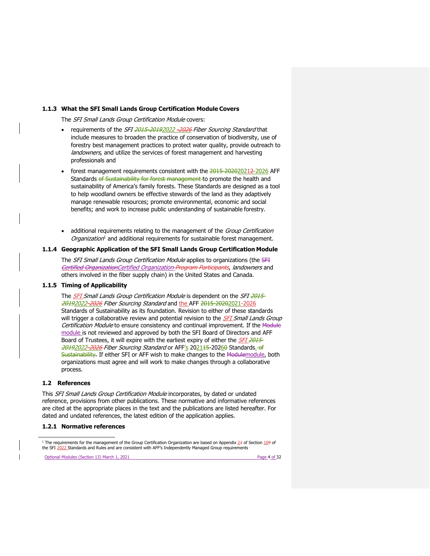# **1.1.3 What the SFI Small Lands Group Certification Module Covers**

The SFI Small Lands Group Certification Module covers:

- requirements of the SFI 2015 2019 2022 2026 Fiber Sourcing Standard that include measures to broaden the practice of conservation of biodiversity, use of forestry best management practices to protect water quality, provide outreach to landowners, and utilize the services of forest management and harvesting professionals and
- forest management requirements consistent with the 2015-202020212-2026 AFF Standards of Sustainability for forest management to promote the health and sustainability of America's family forests. These Standards are designed as a tool to help woodland owners be effective stewards of the land as they adaptively manage renewable resources; promote environmental, economic and social benefits; and work to increase public understanding of sustainable forestry.
- additional requirements relating to the management of the Group Certification Organization<sup>[1](#page-3-0)</sup> and additional requirements for sustainable forest management.

#### **1.1.4 Geographic Application of the SFI Small Lands Group Certification Module**

The SFI Small Lands Group Certification Module applies to organizations (the SFI Certified OrganizationCertified Organization Program Participants, landowners and others involved in the fiber supply chain) in the United States and Canada.

#### **1.1.5 Timing of Applicability**

The SFI Small Lands Group Certification Module is dependent on the SFI 2015-20192022-2026 Fiber Sourcing Standard and the AFF 2015-20202021-2026 Standards of Sustainability as its foundation. Revision to either of these standards will trigger a collaborative review and potential revision to the *SFI Small Lands Group* Certification Module to ensure consistency and continual improvement. If the Module module is not reviewed and approved by both the SFI Board of Directors and AFF Board of Trustees, it will expire with the earliest expiry of either the **SFI 2015** 20192022-2026 Fiber Sourcing Standard or AFF's 202145-20260 Standards.-of Sustainability. If either SFI or AFF wish to make changes to the Modulemodule, both organizations must agree and will work to make changes through a collaborative process.

#### **1.2 References**

This SFI Small Lands Group Certification Module incorporates, by dated or undated reference, provisions from other publications. These normative and informative references are cited at the appropriate places in the text and the publications are listed hereafter. For dated and undated references, the latest edition of the application applies.

#### **1.2.1 Normative references**

<span id="page-3-0"></span>Optional Modules (Section 13) March 1, 2021 **Page 4 of 32** 

<sup>&</sup>lt;sup>1</sup> The requirements for the management of the Group Certification Organization are based on Appendix  $24$  of Section  $109$  of the SFI 2022 Standards and Rules and are consistent with AFF's Independently Managed Group requirements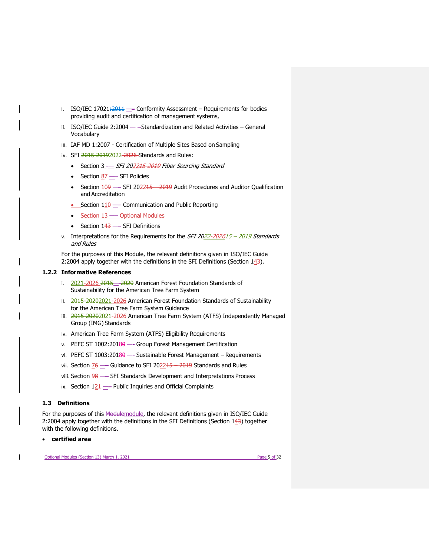- i. ISO/IEC 17021 $\div 2011$  Conformity Assessment Requirements for bodies providing audit and certification of management systems,
- ii. ISO/IEC Guide 2:2004  $-$ -Standardization and Related Activities General Vocabulary
- iii. IAF MD 1:2007 Certification of Multiple Sites Based on Sampling
- iv. SFI 2015-20192022-2026-Standards and Rules:
	- Section 3<sub>2</sub> SFI 202245-2019 Fiber Sourcing Standard
	- Section  $\underline{87}$  SFI Policies
	- Section 109 —– SFI 202215 2019 Audit Procedures and Auditor Qualification and Accreditation
	- Section  $110$  —– Communication and Public Reporting
	- Section 13 Optional Modules
	- Section  $143$  SFI Definitions
- v. Interpretations for the Requirements for the SFI 2022-202615 2019 Standards and Rules

For the purposes of this Module, the relevant definitions given in ISO/IEC Guide 2:2004 apply together with the definitions in the SFI Definitions (Section  $143$ ).

#### **1.2.2 Informative References**

- i. 2021-2026 2015 2020 American Forest Foundation Standards of Sustainability for the American Tree Farm System
- ii. 2015-20202021-2026 American Forest Foundation Standards of Sustainability for the American Tree Farm System Guidance
- iii. 2015-20202021-2026 American Tree Farm System (ATFS) Independently Managed Group (IMG) Standards
- iv. American Tree Farm System (ATFS) Eligibility Requirements
- v. PEFC ST 1002:2018 $\theta$  Group Forest Management Certification
- vi. PEFC ST  $1003:20180 \rightarrow$  Sustainable Forest Management Requirements
- vii. Section  $\frac{76}{2}$  Guidance to SFI 202215 2019 Standards and Rules
- viii. Section 98 SFI Standards Development and Interpretations Process
- ix. Section  $12\frac{1}{2}$  Public Inquiries and Official Complaints

# **1.3 Definitions**

For the purposes of this Modulemodule, the relevant definitions given in ISO/IEC Guide 2:2004 apply together with the definitions in the SFI Definitions (Section  $143$ ) together with the following definitions.

• **certified area**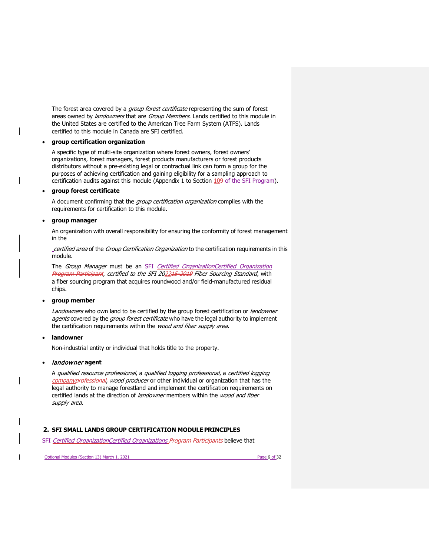The forest area covered by a *group forest certificate* representing the sum of forest areas owned by *landowners* that are Group Members. Lands certified to this module in the United States are certified to the American Tree Farm System (ATFS). Lands certified to this module in Canada are SFI certified.

# • **group certification organization**

A specific type of multi-site organization where forest owners, forest owners' organizations, forest managers, forest products manufacturers or forest products distributors without a pre-existing legal or contractual link can form a group for the purposes of achieving certification and gaining eligibility for a sampling approach to certification audits against this module (Appendix 1 to Section 109 of the SFI Program).

#### • **group forest certificate**

A document confirming that the *group certification organization* complies with the requirements for certification to this module.

#### • **group manager**

An organization with overall responsibility for ensuring the conformity of forest management in the

certified area of the Group Certification Organization to the certification requirements in this module.

The Group Manager must be an SFI Certified OrganizationCertified Organization Program Participant, certified to the SFI 202245-2019 Fiber Sourcing Standard, with a fiber sourcing program that acquires roundwood and/or field-manufactured residual chips.

# • **group member**

Landowners who own land to be certified by the group forest certification or landowner agents covered by the *group forest certificate* who have the legal authority to implement the certification requirements within the wood and fiber supply area.

# • **landowner**

Non-industrial entity or individual that holds title to the property.

# • landowner **agent**

A qualified resource professional, a qualified logging professional, a certified logging companyprofessional, wood producer or other individual or organization that has the legal authority to manage forestland and implement the certification requirements on certified lands at the direction of *landowner* members within the *wood and fiber* supply area.

# **2. SFI SMALL LANDS GROUP CERTIFICATION MODULE PRINCIPLES**

SFI Certified OrganizationCertified Organizations Program Participants believe that

Optional Modules (Section 13) March 1, 2021 Page 6 of 32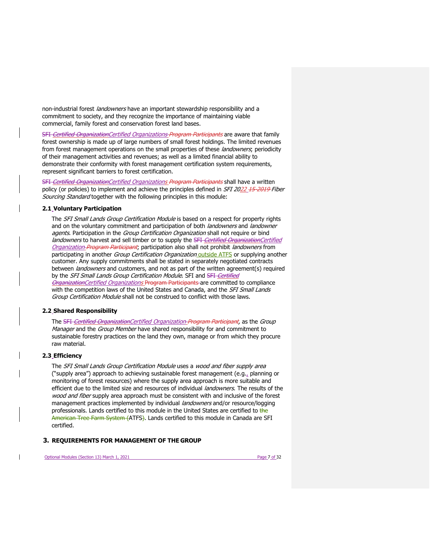non-industrial forest *landowners* have an important stewardship responsibility and a commitment to society, and they recognize the importance of maintaining viable commercial, family forest and conservation forest land bases.

SFI Certified Organization Certified Organizations Program Participants are aware that family forest ownership is made up of large numbers of small forest holdings. The limited revenues from forest management operations on the small properties of these *landowners*; periodicity of their management activities and revenues; as well as a limited financial ability to demonstrate their conformity with forest management certification system requirements, represent significant barriers to forest certification.

SFI Certified OrganizationCertified Organizations Program Participants shall have a written policy (or policies) to implement and achieve the principles defined in SFI 2022 15-2019 Fiber Sourcing Standard together with the following principles in this module:

# **2.1 Voluntary Participation**

The *SFI Small Lands Group Certification Module* is based on a respect for property rights and on the voluntary commitment and participation of both *landowners* and *landowner* agents. Participation in the Group Certification Organization shall not require or bind landowners to harvest and sell timber or to supply the SFI Certified OrganizationCertified Organization-Program Participant; participation also shall not prohibit landowners from participating in another Group Certification Organization outside ATFS or supplying another customer. Any supply commitments shall be stated in separately negotiated contracts between *landowners* and customers, and not as part of the written agreement(s) required by the SFI Small Lands Group Certification Module. SFI and SFI Certified **OrganizationCertified Organizations Program Participants** are committed to compliance with the competition laws of the United States and Canada, and the SFI Small Lands Group Certification Module shall not be construed to conflict with those laws.

#### **2.2 Shared Responsibility**

The SFI Certified OrganizationCertified Organization Program Participant, as the Group Manager and the Group Member have shared responsibility for and commitment to sustainable forestry practices on the land they own, manage or from which they procure raw material.

#### **2.3 Efficiency**

The SFI Small Lands Group Certification Module uses a wood and fiber supply area ("supply area") approach to achieving sustainable forest management  $(e.g.,$  planning or monitoring of forest resources) where the supply area approach is more suitable and efficient due to the limited size and resources of individual *landowners*. The results of the wood and fiber supply area approach must be consistent with and inclusive of the forest management practices implemented by individual *landowners* and/or resource/logging professionals. Lands certified to this module in the United States are certified to the American Tree Farm System (ATFS). Lands certified to this module in Canada are SFI certified.

# **3. REQUIREMENTS FOR MANAGEMENT OF THE GROUP**

Optional Modules (Section 13) March 1, 2021 Page 7 of 32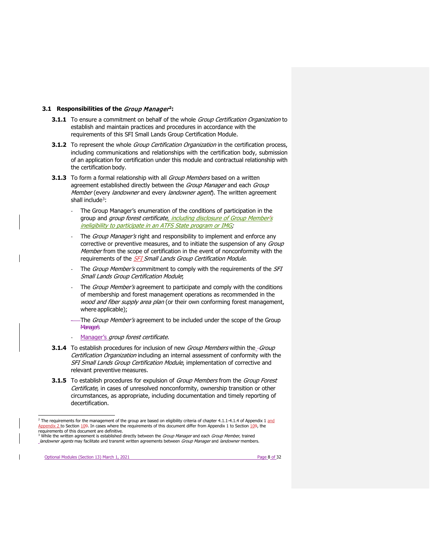# **3.1 Responsibilities of the** Group Manager**[2](#page-7-0):**

- **3.1.1** To ensure a commitment on behalf of the whole Group Certification Organization to establish and maintain practices and procedures in accordance with the requirements of this SFI Small Lands Group Certification Module.
- **3.1.2** To represent the whole *Group Certification Organization* in the certification process, including communications and relationships with the certification body, submission of an application for certification under this module and contractual relationship with the certification body.
- **3.1.3** To form a formal relationship with all *Group Members* based on a written agreement established directly between the Group Manager and each Group Member (every landowner and every landowner agent). The written agreement shall include<sup>[3](#page-7-1)</sup>:
	- The Group Manager's enumeration of the conditions of participation in the group and group forest certificate, including disclosure of Group Member's ineligibility to participate in an ATFS State program or IMG;
	- The Group Manager's right and responsibility to implement and enforce any corrective or preventive measures, and to initiate the suspension of any Group Member from the scope of certification in the event of nonconformity with the requirements of the **SFI** Small Lands Group Certification Module.
	- The Group Member's commitment to comply with the requirements of the SFI Small Lands Group Certification Module;
	- The *Group Member's* agreement to participate and comply with the conditions of membership and forest management operations as recommended in the wood and fiber supply area plan (or their own conforming forest management, where applicable);
	- The Group Member's agreement to be included under the scope of the Group **Manager's**
	- Manager's group forest certificate.
- **3.1.4** To establish procedures for inclusion of new *Group Members* within the -Group Certification Organization including an internal assessment of conformity with the SFI Small Lands Group Certification Module, implementation of corrective and relevant preventive measures.
- **3.1.5** To establish procedures for expulsion of Group Members from the Group Forest Certificate, in cases of unresolved nonconformity, ownership transition or other circumstances, as appropriate, including documentation and timely reporting of decertification.

<sup>&</sup>lt;sup>2</sup> The requirements for the management of the group are based on eligibility criteria of chapter 4.1.1-4.1.4 of Appendix 1 and Appendix 2 to Section 109. In cases where the requirements of this document differ from Appendix 1 to Section 109, the requirements of this document are definitive.

<span id="page-7-1"></span><span id="page-7-0"></span><sup>3</sup> While the written agreement is established directly between the Group Manager and each Group Member, trained landowner agents may facilitate and transmit written agreements between Group Manager and landowner members.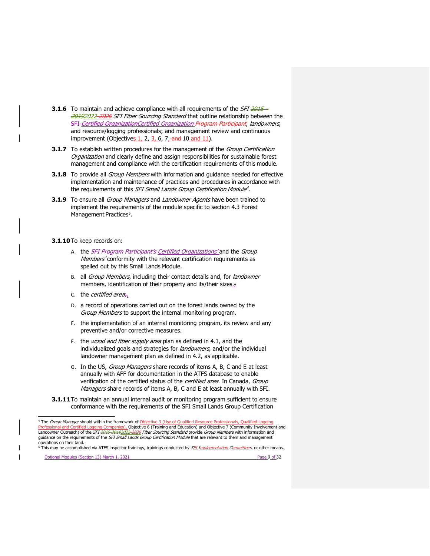- **3.1.6** To maintain and achieve compliance with all requirements of the *SFI 2015* 20192022-2026 SFI Fiber Sourcing Standard that outline relationship between the SFI Certified OrganizationCertified Organization Program Participant, landowners, and resource/logging professionals; and management review and continuous improvement (Objectives  $1, 2, 3, 6, 7$ , and  $10$  and  $11$ ).
- **3.1.7** To establish written procedures for the management of the Group Certification Organization and clearly define and assign responsibilities for sustainable forest management and compliance with the certification requirements of this module.
- **3.1.8** To provide all *Group Members* with information and quidance needed for effective implementation and maintenance of practices and procedures in accordance with the requirements of this SFI Small Lands Group Certification Module<sup>4</sup>.
- **3.1.9** To ensure all *Group Managers* and *Landowner Agents* have been trained to implement the requirements of the module specific to section 4.3 Forest Management Practices<sup>[5](#page-8-0)</sup>.

#### **3.1.10**To keep records on:

- A. the *SFI Program Participant's Certified Organizations'* and the Group Members' conformity with the relevant certification requirements as spelled out by this Small Lands Module.
- B. all Group Members, including their contact details and, for landowner members, identification of their property and its/their sizes $\frac{1}{2}$
- C. the *certified area*;
- D. a record of operations carried out on the forest lands owned by the Group Members to support the internal monitoring program.
- E. the implementation of an internal monitoring program, its review and any preventive and/or corrective measures.
- F. the *wood and fiber supply area* plan as defined in 4.1, and the individualized goals and strategies for *landowners*, and/or the individual landowner management plan as defined in 4.2, as applicable.
- G. In the US, Group Managers share records of items A, B, C and E at least annually with AFF for documentation in the ATFS database to enable verification of the certified status of the certified area. In Canada, Group Managers share records of items A, B, C and E at least annually with SFI.
- **3.1.11**To maintain an annual internal audit or monitoring program sufficient to ensure conformance with the requirements of the SFI Small Lands Group Certification

<span id="page-8-0"></span>Optional Modules (Section 13) March 1, 2021 **Page 9 of 32** Page 9 of 32

<sup>&</sup>lt;sup>4</sup> The Group Manager should within the framework of Objective 3 (Use of Qualified Resource Professionals, Qualified Logging <u>Professional and Certified Logging Companies), O</u>bjective 6 (Training and Education) and Objective 7 (Community Involvement and<br>Landowner Outreach) of the *SFI <del>2015-2019</del>2022-2026 Fiber Sourcing Standard* provide *Group* guidance on the requirements of the SFI Small Lands Group Certification Module that are relevant to them and management operations on their land.

<sup>5</sup> This may be accomplished via ATFS inspector trainings, trainings conducted by SEI Implementation Committees, or other means.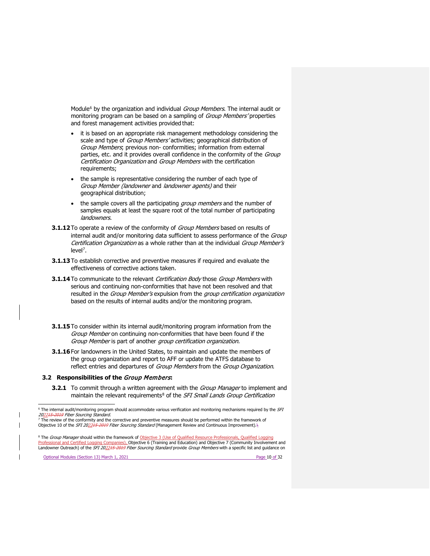Module<sup>[6](#page-9-0)</sup> by the organization and individual *Group Members*. The internal audit or monitoring program can be based on a sampling of Group Members' properties and forest management activities provided that:

- it is based on an appropriate risk management methodology considering the scale and type of *Group Members'* activities; geographical distribution of Group Members; previous non- conformities; information from external parties, etc. and it provides overall confidence in the conformity of the Group Certification Organization and Group Members with the certification requirements;
- the sample is representative considering the number of each type of Group Member (landowner and landowner agents) and their geographical distribution;
- the sample covers all the participating group members and the number of samples equals at least the square root of the total number of participating landowners.
- **3.1.12** To operate a review of the conformity of *Group Members* based on results of internal audit and/or monitoring data sufficient to assess performance of the *Group* Certification Organization as a whole rather than at the individual Group Member's level<sup>[7](#page-9-1)</sup>.
- **3.1.13**To establish corrective and preventive measures if required and evaluate the effectiveness of corrective actions taken.
- **3.1.14** To communicate to the relevant Certification Body those Group Members with serious and continuing non-conformities that have not been resolved and that resulted in the Group Member's expulsion from the group certification organization based on the results of internal audits and/or the monitoring program.
- **3.1.15**To consider within its internal audit/monitoring program information from the Group Member on continuing non-conformities that have been found if the Group Member is part of another group certification organization.
- **3.1.16**For landowners in the United States, to maintain and update the members of the group organization and report to AFF or update the ATFS database to reflect entries and departures of Group Members from the Group Organization.

#### **3.2 Responsibilities of the** Group Members**:**

**3.2.1** To commit through a written agreement with the Group Manager to implement and maintain the relevant requirements<sup>[8](#page-9-2)</sup> of the *SFI Small Lands Group Certification* 

<sup>&</sup>lt;sup>6</sup> The internal audit/monitoring program should accommodate various verification and monitoring mechanisms required by the SFI 202215-2019 Fiber Sourcing Standard.

 $<sup>7</sup>$  The review of the conformity and the corrective and preventive measures should be performed within the framework of</sup> Objective 10 of the SFI 202215-2019 Fiber Sourcing Standard (Management Review and Continuous Improvement).

<span id="page-9-2"></span><span id="page-9-1"></span><span id="page-9-0"></span><sup>&</sup>lt;sup>8</sup> The Group Manager should within the framework of Objective 3 (Use of Qualified Resource Professionals, Qualified Logging Professional and Certified Logging Companies), Objective 6 (Training and Education) and Objective 7 (Community Involvement and Landowner Outreach) of the SFI 202215-2019 Fiber Sourcing Standard provide Group Members with a specific list and guidance on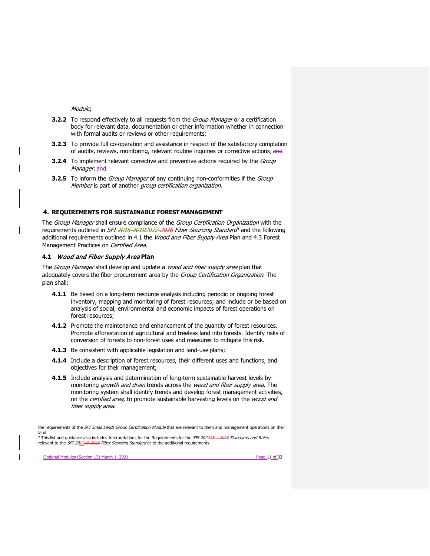Module;

- **3.2.2** To respond effectively to all requests from the Group Manager or a certification body for relevant data, documentation or other information whether in connection with formal audits or reviews or other requirements;
- **3.2.3** To provide full co-operation and assistance in respect of the satisfactory completion of audits, reviews, monitoring, relevant routine inquiries or corrective actions; and
- **3.2.4** To implement relevant corrective and preventive actions required by the *Group* Manager; and-
- **3.2.5** To inform the *Group Manager* of any continuing non-conformities if the *Group* Member is part of another group certification organization.

# **4. REQUIREMENTS FOR SUSTAINABLE FOREST MANAGEMENT**

The Group Manager shall ensure compliance of the Group Certification Organization with the requirements outlined in SFI  $\frac{2015}{20192022-2026}$  $\frac{2015}{20192022-2026}$  $\frac{2015}{20192022-2026}$  Fiber Sourcing Standard<sup>9</sup> and the following additional requirements outlined in 4.1 the Wood and Fiber Supply Area Plan and 4.3 Forest Management Practices on Certified Area.

# **4.1** Wood and Fiber Supply Area **Plan**

The Group Manager shall develop and update a wood and fiber supply area plan that adequately covers the fiber procurement area by the Group Certification Organization. The plan shall:

- **4.1.1** Be based on a long-term resource analysis including periodic or ongoing forest inventory, mapping and monitoring of forest resources; and include or be based on analysis of social, environmental and economic impacts of forest operations on forest resources;
- **4.1.2** Promote the maintenance and enhancement of the quantity of forest resources. Promote afforestation of agricultural and treeless land into forests. Identify risks of conversion of forests to non-forest uses and measures to mitigate this risk.
- **4.1.3** Be consistent with applicable legislation and land-use plans;
- **4.1.4** Include a description of forest resources, their different uses and functions, and objectives for their management;
- **4.1.5** Include analysis and determination of long-term sustainable harvest levels by monitoring growth and drain trends across the wood and fiber supply area. The monitoring system shall identify trends and develop forest management activities, on the certified area, to promote sustainable harvesting levels on the wood and fiber supply area.

<span id="page-10-0"></span>Optional Modules (Section 13) March 1, 2021 **Page 11 of 32** Page 11 of 32

the requirements of the SFI Small Lands Group Certification Module that are relevant to them and management operations on their land.

<sup>&</sup>lt;sup>9</sup> This list and guidance also includes Interpretations for the Requirements for the SFI 2022<del>15 – 2019</del> Standards and Rules relevant to the SFI 202215-2019 Fiber Sourcing Standard or to the additional requirements.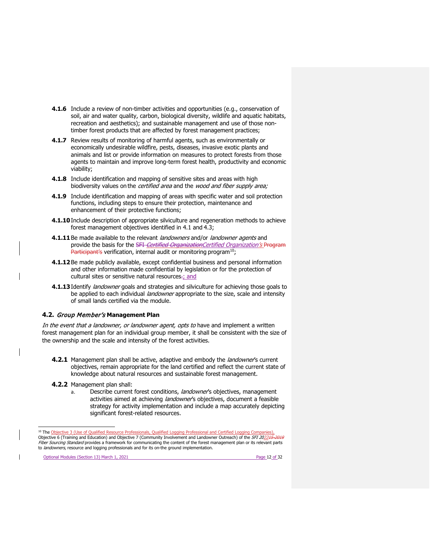- **4.1.6** Include a review of non-timber activities and opportunities (e.g., conservation of soil, air and water quality, carbon, biological diversity, wildlife and aquatic habitats, recreation and aesthetics); and sustainable management and use of those nontimber forest products that are affected by forest management practices;
- **4.1.7** Review results of monitoring of harmful agents, such as environmentally or economically undesirable wildfire, pests, diseases, invasive exotic plants and animals and list or provide information on measures to protect forests from those agents to maintain and improve long-term forest health, productivity and economic viability;
- **4.1.8** Include identification and mapping of sensitive sites and areas with high biodiversity values on the certified area and the wood and fiber supply area;
- **4.1.9** Include identification and mapping of areas with specific water and soil protection functions, including steps to ensure their protection, maintenance and enhancement of their protective functions;
- **4.1.10** Include description of appropriate silviculture and regeneration methods to achieve forest management objectives identified in 4.1 and 4.3;
- 4.1.11 Be made available to the relevant *landowners* and/or *landowner agents* and provide the basis for the SFI Certified OrganizationCertified Organization's Program Participant's verification, internal audit or monitoring program<sup>10</sup>;
- **4.1.12**Be made publicly available, except confidential business and personal information and other information made confidential by legislation or for the protection of cultural sites or sensitive natural resources.; and
- **4.1.13** Identify *landowner* goals and strategies and silviculture for achieving those goals to be applied to each individual landowner appropriate to the size, scale and intensity of small lands certified via the module.

# **4.2.** Group Member's **Management Plan**

In the event that a landowner, or landowner agent, opts to have and implement a written forest management plan for an individual group member, it shall be consistent with the size of the ownership and the scale and intensity of the forest activities.

- **4.2.1** Management plan shall be active, adaptive and embody the *landowner'*s current objectives, remain appropriate for the land certified and reflect the current state of knowledge about natural resources and sustainable forest management.
- **4.2.2** Management plan shall:
	- a. Describe current forest conditions, landowner's objectives, management activities aimed at achieving landowner's objectives, document a feasible strategy for activity implementation and include a map accurately depicting significant forest-related resources.

<span id="page-11-0"></span>Optional Modules (Section 13) March 1, 2021 **Page 12 of 32** Page 12 of 32

<sup>&</sup>lt;sup>10</sup> The Objective 3 (Use of Qualified Resource Professionals, Qualified Logging Professional and Certified Logging Companies), Objective 6 (Training and Education) and Objective 7 (Community Involvement and Landowner Outreach) of the SFI 202215 Fiber Sourcing Standard provides a framework for communicating the content of the forest management plan or its relevant parts to landowners, resource and logging professionals and for its on-the ground implementation.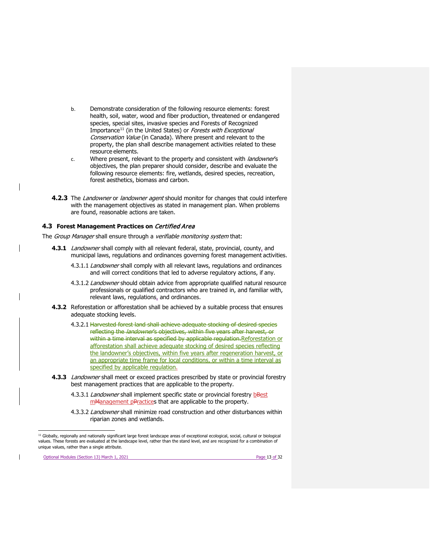- b. Demonstrate consideration of the following resource elements: forest health, soil, water, wood and fiber production, threatened or endangered species, special sites, invasive species and Forests of Recognized Importance<sup>[11](#page-12-0)</sup> (in the United States) or Forests with Exceptional Conservation Value (in Canada). Where present and relevant to the property, the plan shall describe management activities related to these resource elements.
- c. Where present, relevant to the property and consistent with *landowner's* objectives, the plan preparer should consider, describe and evaluate the following resource elements: fire, wetlands, desired species, recreation, forest aesthetics, biomass and carbon.
- **4.2.3** The *Landowner* or *landowner agent* should monitor for changes that could interfere with the management objectives as stated in management plan. When problems are found, reasonable actions are taken.

#### **4.3 Forest Management Practices on** Certified Area

The Group Manager shall ensure through a verifiable monitoring system that:

- **4.3.1** Landowner shall comply with all relevant federal, state, provincial, county, and municipal laws, regulations and ordinances governing forest management activities.
	- 4.3.1.1 Landowner shall comply with all relevant laws, regulations and ordinances and will correct conditions that led to adverse regulatory actions, if any.
	- 4.3.1.2 *Landowner* should obtain advice from appropriate qualified natural resource professionals or qualified contractors who are trained in, and familiar with, relevant laws, regulations, and ordinances.
- **4.3.2** Reforestation or afforestation shall be achieved by a suitable process that ensures adequate stocking levels.
	- 4.3.2.1 Harvested forest land shall achieve adequate stocking of desired species reflecting the *landowner's* objectives, within five years after harvest, or within a time interval as specified by applicable regulation. Reforestation or afforestation shall achieve adequate stocking of desired species reflecting the landowner's objectives, within five years after regeneration harvest, or an appropriate time frame for local conditions, or within a time interval as specified by applicable regulation.
- **4.3.3** Landowner shall meet or exceed practices prescribed by state or provincial forestry best management practices that are applicable to the property.
	- 4.3.3.1 Landowner shall implement specific state or provincial forestry **bBest** mManagement pPractices that are applicable to the property.
	- 4.3.3.2 Landowner shall minimize road construction and other disturbances within riparian zones and wetlands.

<span id="page-12-0"></span><sup>&</sup>lt;sup>11</sup> Globally, regionally and nationally significant large forest landscape areas of exceptional ecological, social, cultural or biological values. These forests are evaluated at the landscape level, rather than the stand level, and are recognized for a combination of unique values, rather than a single attribute.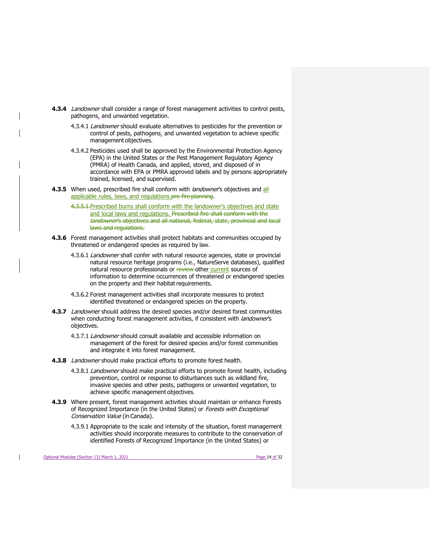- **4.3.4** Landowner shall consider a range of forest management activities to control pests, pathogens, and unwanted vegetation.
	- 4.3.4.1 Landowner should evaluate alternatives to pesticides for the prevention or control of pests, pathogens, and unwanted vegetation to achieve specific management objectives.
	- 4.3.4.2 Pesticides used shall be approved by the Environmental Protection Agency (EPA) in the United States or the Pest Management Regulatory Agency (PMRA) of Health Canada, and applied, stored, and disposed of in accordance with EPA or PMRA approved labels and by persons appropriately trained, licensed, and supervised.
- **4.3.5** When used, prescribed fire shall conform with *landowner'*s objectives and all applicable rules, laws, and regulations.pre-fire planning.
	- 4.3.5.1 Prescribed burns shall conform with the landowner's objectives and state and local laws and regulations. Prescribed fire shall conform with the landowner's objectives and all national, federal, state, provincial and local laws and regulations.
- **4.3.6** Forest management activities shall protect habitats and communities occupied by threatened or endangered species as required by law.
	- 4.3.6.1 Landowner shall confer with natural resource agencies, state or provincial natural resource heritage programs (i.e., NatureServe databases), qualified natural resource professionals or review other current sources of information to determine occurrences of threatened or endangered species on the property and their habitat requirements.
	- 4.3.6.2 Forest management activities shall incorporate measures to protect identified threatened or endangered species on the property.
- **4.3.7** Landowner should address the desired species and/or desired forest communities when conducting forest management activities, if consistent with landowner's objectives.
	- 4.3.7.1 Landowner should consult available and accessible information on management of the forest for desired species and/or forest communities and integrate it into forest management.
- **4.3.8** Landowner should make practical efforts to promote forest health.
	- 4.3.8.1 *Landowner* should make practical efforts to promote forest health, including prevention, control or response to disturbances such as wildland fire, invasive species and other pests, pathogens or unwanted vegetation, to achieve specific management objectives.
- **4.3.9** Where present, forest management activities should maintain or enhance Forests of Recognized Importance (in the United States) or Forests with Exceptional Conservation Value (in Canada).
	- 4.3.9.1 Appropriate to the scale and intensity of the situation, forest management activities should incorporate measures to contribute to the conservation of identified Forests of Recognized Importance (in the United States) or

Optional Modules (Section 13) March 1, 2021 Page 14 of 32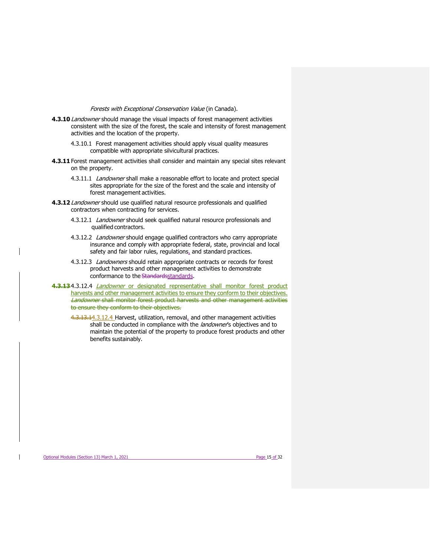Forests with Exceptional Conservation Value (in Canada).

- **4.3.10** Landowner should manage the visual impacts of forest management activities consistent with the size of the forest, the scale and intensity of forest management activities and the location of the property.
	- 4.3.10.1 Forest management activities should apply visual quality measures compatible with appropriate silvicultural practices.
- **4.3.11**Forest management activities shall consider and maintain any special sites relevant on the property.
	- 4.3.11.1 Landowner shall make a reasonable effort to locate and protect special sites appropriate for the size of the forest and the scale and intensity of forest management activities.
- **4.3.12** Landowner should use qualified natural resource professionals and qualified contractors when contracting for services.
	- 4.3.12.1 Landowner should seek qualified natural resource professionals and qualified contractors.
	- 4.3.12.2 Landowner should engage qualified contractors who carry appropriate insurance and comply with appropriate federal, state, provincial and local safety and fair labor rules, regulations, and standard practices.
	- 4.3.12.3 Landowners should retain appropriate contracts or records for forest product harvests and other management activities to demonstrate conformance to the Standardsstandards.
- 4.3.134.3.12.4 *Landowner* or designated representative shall monitor forest product harvests and other management activities to ensure they conform to their objectives. Landowner shall monitor forest product harvests and other management activities to ensure they conform to their objectives.

4.3.13.14.3.12.4 Harvest, utilization, removal, and other management activities shall be conducted in compliance with the *landowner's* objectives and to maintain the potential of the property to produce forest products and other benefits sustainably.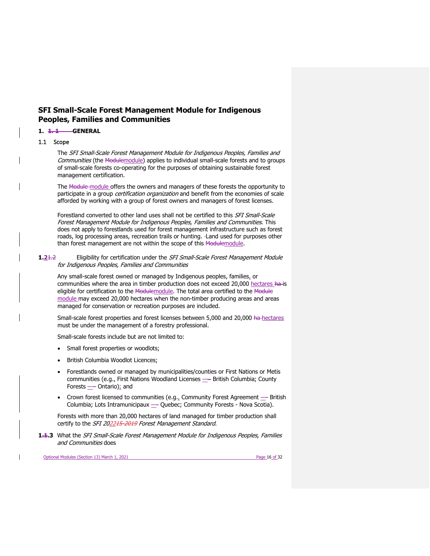# **SFI Small-Scale Forest Management Module for Indigenous Peoples, Families and Communities**

# **1. 1. 1 GENERAL**

# 1.1 Scope

 The SFI Small-Scale Forest Management Module for Indigenous Peoples, Families and Communities (the Modulemodule) applies to individual small-scale forests and to groups of small-scale forests co-operating for the purposes of obtaining sustainable forest management certification.

The Module-module offers the owners and managers of these forests the opportunity to participate in a group *certification organization* and benefit from the economies of scale afforded by working with a group of forest owners and managers of forest licenses.

Forestland converted to other land uses shall not be certified to this SFI Small-Scale Forest Management Module for Indigenous Peoples, Families and Communities. This does not apply to forestlands used for forest management infrastructure such as forest roads, log processing areas, recreation trails or hunting. Land used for purposes other than forest management are not within the scope of this Modulemodule.

# **1.21.2** Eligibility for certification under the *SFI Small-Scale Forest Management Module* for Indigenous Peoples, Families and Communities

Any small-scale forest owned or managed by Indigenous peoples, families, or communities where the area in timber production does not exceed 20,000 hectares ha-is eligible for certification to the Modulemodule. The total area certified to the Module module may exceed 20,000 hectares when the non-timber producing areas and areas managed for conservation or recreation purposes are included.

Small-scale forest properties and forest licenses between 5,000 and 20,000 ha-hectares must be under the management of a forestry professional.

Small-scale forests include but are not limited to:

- Small forest properties or woodlots;
- British Columbia Woodlot Licences;
- Forestlands owned or managed by municipalities/counties or First Nations or Metis communities (e.g., First Nations Woodland Licenses —– British Columbia; County Forests — Ontario); and
- Crown forest licensed to communities (e.g., Community Forest Agreement British Columbia; Lots Intramunicipaux - Quebec; Community Forests - Nova Scotia).

Forests with more than 20,000 hectares of land managed for timber production shall certify to the SFI 202245-2019 Forest Management Standard.

1.1.3 What the SFI Small-Scale Forest Management Module for Indigenous Peoples, Families and Communities does

Optional Modules (Section 13) March 1, 2021 **Page 16 of 32** Page 16 of 32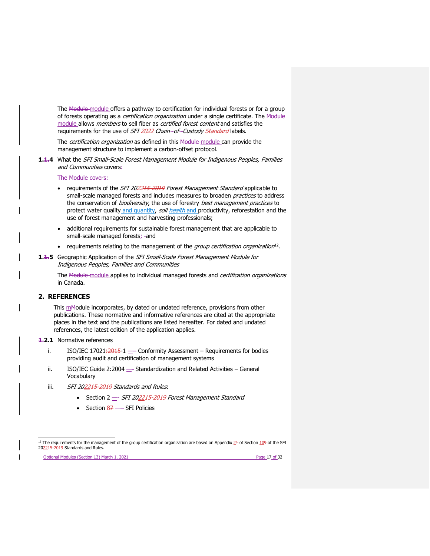The Module-module offers a pathway to certification for individual forests or for a group of forests operating as a certification organization under a single certificate. The Module module allows *members* to sell fiber as *certified forest content* and satisfies the requirements for the use of SFI 2022 Chain-of-Custody Standard labels.

The certification organization as defined in this Module-module can provide the management structure to implement a carbon-offset protocol.

**1.1.4** What the SFI Small-Scale Forest Management Module for Indigenous Peoples, Families and Communities covers:

The Module covers:

- requirements of the SFI 202245-2019 Forest Management Standard applicable to small-scale managed forests and includes measures to broaden practices to address the conservation of *biodiversity*, the use of forestry *best management practices* to protect water quality and quantity, soil health and productivity, reforestation and the use of forest management and harvesting professionals;
- additional requirements for sustainable forest management that are applicable to small-scale managed forests; - and
- requirements relating to the management of the group certification organization<sup>[12](#page-16-0)</sup>.
- **1.1.5** Geographic Application of the SFI Small-Scale Forest Management Module for Indigenous Peoples, Families and Communities

The Module-module applies to individual managed forests and *certification organizations* in Canada.

# **2. REFERENCES**

This mModule incorporates, by dated or undated reference, provisions from other publications. These normative and informative references are cited at the appropriate places in the text and the publications are listed hereafter. For dated and undated references, the latest edition of the application applies.

# **1.2.1** Normative references

- i. ISO/IEC 17021: $\frac{2015}{1}$  Conformity Assessment Requirements for bodies providing audit and certification of management systems
- ii. ISO/IEC Guide 2:2004  $-$  Standardization and Related Activities General Vocabulary
- iii. SFI 202245-2019 Standards and Rules:
	- Section 2 SFI 202215-2019 Forest Management Standard
	- Section  $\underline{87}$  SFI Policies

<span id="page-16-0"></span>Optional Modules (Section 13) March 1, 2021 **Page 17 of 32** Page 17 of 32

<sup>&</sup>lt;sup>12</sup> The requirements for the management of the group certification organization are based on Appendix  $2\pm$  of Section  $109$  of the SFI 202215-2019 Standards and Rules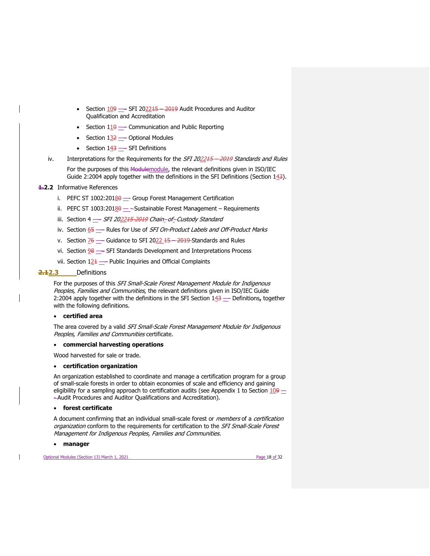- Section  $109$  —– SFI 2022<del>15 2019</del> Audit Procedures and Auditor Qualification and Accreditation
- Section  $110$  —– Communication and Public Reporting
- Section  $1\overline{3}2$  —– Optional Modules
- Section  $143$  SFI Definitions
- iv. Interpretations for the Requirements for the SFI 202245 2019 Standards and Rules For the purposes of this Modulemodule, the relevant definitions given in ISO/IEC Guide 2:2004 apply together with the definitions in the SFI Definitions (Section  $143$ ).

# **1.2.2** Informative References

- i. PEFC ST  $1002:20180$  Group Forest Management Certification
- ii. PEFC ST 1003:2018 $\theta$  Sustainable Forest Management Requirements
- iii. Section 4  $-$  SFI 202215-2019 Chain-of-Custody Standard
- iv. Section 65 Rules for Use of SFI On-Product Labels and Off-Product Marks
- v. Section  $\frac{76}{10}$  Guidance to SFI 2022  $\frac{15}{10}$  2019 Standards and Rules
- vi. Section  $98 \longrightarrow$  SFI Standards Development and Interpretations Process
- vii. Section  $12\frac{1}{2}$  Public Inquiries and Official Complaints

#### **2.12.3** Definitions

For the purposes of this SFI Small-Scale Forest Management Module for Indigenous Peoples, Families and Communities, the relevant definitions given in ISO/IEC Guide 2:2004 apply together with the definitions in the SFI Section 143 —- Definitions**,** together with the following definitions.

# • **certified area**

The area covered by a valid SFI Small-Scale Forest Management Module for Indigenous Peoples, Families and Communities certificate.

#### • **commercial harvesting operations**

Wood harvested for sale or trade.

#### • **certification organization**

An organization established to coordinate and manage a certification program for a group of small-scale forests in order to obtain economies of scale and efficiency and gaining eligibility for a sampling approach to certification audits (see Appendix 1 to Section  $109 -$ - Audit Procedures and Auditor Qualifications and Accreditation).

#### • **forest certificate**

A document confirming that an individual small-scale forest or *members* of a *certification* organization conform to the requirements for certification to the SFI Small-Scale Forest Management for Indigenous Peoples, Families and Communities.

• **manager** 

Optional Modules (Section 13) March 1, 2021 **Page 18 of 32** Page 18 of 32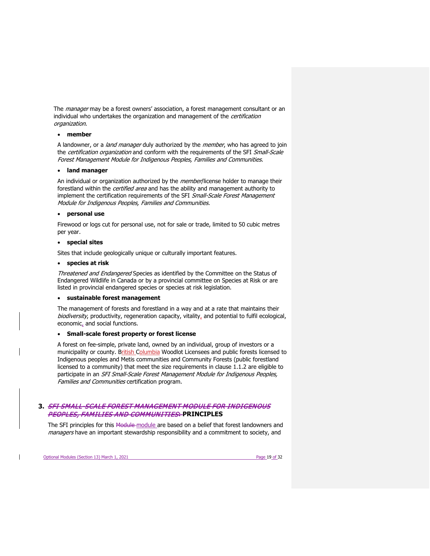The *manager* may be a forest owners' association, a forest management consultant or an individual who undertakes the organization and management of the certification organization.

#### • **member**

A landowner, or a *land manager* duly authorized by the *member*, who has agreed to join the *certification organization* and conform with the requirements of the SFI Small-Scale Forest Management Module for Indigenous Peoples, Families and Communities.

# • **land manager**

An individual or organization authorized by the *member*/license holder to manage their forestland within the *certified area* and has the ability and management authority to implement the certification requirements of the SFI Small-Scale Forest Management Module for Indigenous Peoples, Families and Communities.

# • **personal use**

Firewood or logs cut for personal use, not for sale or trade, limited to 50 cubic metres per year.

#### • **special sites**

Sites that include geologically unique or culturally important features.

# • **species at risk**

Threatened and Endangered Species as identified by the Committee on the Status of Endangered Wildlife in Canada or by a provincial committee on Species at Risk or are listed in provincial endangered species or species at risk legislation.

# • **sustainable forest management**

The management of forests and forestland in a way and at a rate that maintains their biodiversity, productivity, regeneration capacity, vitality, and potential to fulfil ecological, economic, and social functions.

# • **Small-scale forest property or forest license**

A forest on fee-simple, private land, owned by an individual, group of investors or a municipality or county. British Columbia Woodlot Licensees and public forests licensed to Indigenous peoples and Metis communities and Community Forests (public forestland licensed to a community) that meet the size requirements in clause 1.1.2 are eligible to participate in an SFI Small-Scale Forest Management Module for Indigenous Peoples, Families and Communities certification program.

# **3.** SFI SMALL-SCALE FOREST MANAGEMENT MODULE FOR INDIGENOUS PEOPLES, FAMILIES AND COMMUNITIES**: PRINCIPLES**

The SFI principles for this Module-module are based on a belief that forest landowners and managers have an important stewardship responsibility and a commitment to society, and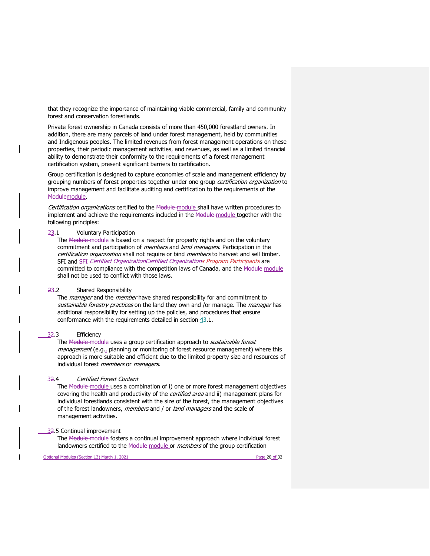that they recognize the importance of maintaining viable commercial, family and community forest and conservation forestlands.

Private forest ownership in Canada consists of more than 450,000 forestland owners. In addition, there are many parcels of land under forest management, held by communities and Indigenous peoples. The limited revenues from forest management operations on these properties, their periodic management activities, and revenues, as well as a limited financial ability to demonstrate their conformity to the requirements of a forest management certification system, present significant barriers to certification.

Group certification is designed to capture economies of scale and management efficiency by grouping numbers of forest properties together under one group certification organization to improve management and facilitate auditing and certification to the requirements of the Modulemodule.

Certification organizations certified to the Module-module shall have written procedures to implement and achieve the requirements included in the Module-module together with the following principles:

#### 23.1 Voluntary Participation

The Module module is based on a respect for property rights and on the voluntary commitment and participation of *members* and land managers. Participation in the certification organization shall not require or bind members to harvest and sell timber. SFI and SFI Certified OrganizationCertified Organizations Program Participants are committed to compliance with the competition laws of Canada, and the Module-module shall not be used to conflict with those laws.

# 23.2 Shared Responsibility

The manager and the member have shared responsibility for and commitment to sustainable forestry practices on the land they own and /or manage. The manager has additional responsibility for setting up the policies, and procedures that ensure conformance with the requirements detailed in section  $43.1$ .

# 32.3 Efficiency

The Module module uses a group certification approach to *sustainable forest* management (e.g., planning or monitoring of forest resource management) where this approach is more suitable and efficient due to the limited property size and resources of individual forest *members* or *managers*.

# 32.4 Certified Forest Content

The Module module uses a combination of i) one or more forest management objectives covering the health and productivity of the certified area and ii) management plans for individual forestlands consistent with the size of the forest, the management objectives of the forest landowners, members and-/-or land managers and the scale of management activities.

#### 32.5 Continual improvement

The Module-module fosters a continual improvement approach where individual forest landowners certified to the Module-module or *members* of the group certification

Optional Modules (Section 13) March 1, 2021 **Page 20 of 32** Page 20 of 32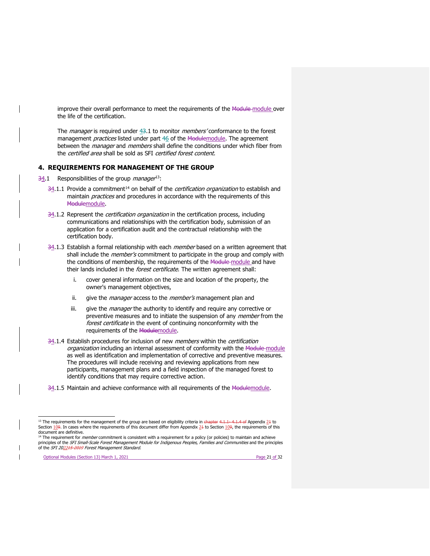improve their overall performance to meet the requirements of the Module-module over the life of the certification.

The *manager* is required under  $43.1$  to monitor *members'* conformance to the forest management *practices* listed under part 46 of the Modulemodule. The agreement between the *manager* and *members* shall define the conditions under which fiber from the certified area shall be sold as SFI certified forest content.

# **4. REQUIREMENTS FOR MANAGEMENT OF THE GROUP**

- 34.1 Responsibilities of the group *manager*<sup>[13](#page-20-0)</sup>:
	- $34.1.1$  Provide a commitment<sup>[14](#page-20-1)</sup> on behalf of the *certification organization* to establish and maintain *practices* and procedures in accordance with the requirements of this Modulemodule.
	- 34.1.2 Represent the *certification organization* in the certification process, including communications and relationships with the certification body, submission of an application for a certification audit and the contractual relationship with the certification body.
	- 34.1.3 Establish a formal relationship with each *member* based on a written agreement that shall include the *member's* commitment to participate in the group and comply with the conditions of membership, the requirements of the Module-module and have their lands included in the forest certificate. The written agreement shall:
		- i. cover general information on the size and location of the property, the owner's management objectives,
		- ii. give the *manager* access to the *member's* management plan and
		- iii. give the *manager* the authority to identify and require any corrective or preventive measures and to initiate the suspension of any *member* from the forest certificate in the event of continuing nonconformity with the requirements of the Modulemodule.
	- 34.1.4 Establish procedures for inclusion of new *members* within the *certification* organization including an internal assessment of conformity with the Module module as well as identification and implementation of corrective and preventive measures. The procedures will include receiving and reviewing applications from new participants, management plans and a field inspection of the managed forest to identify conditions that may require corrective action.

34.1.5 Maintain and achieve conformance with all requirements of the Modulemodule.

<span id="page-20-1"></span><span id="page-20-0"></span>Optional Modules (Section 13) March 1, 2021 **Page 21 of 32** Page 21 of 32

<sup>&</sup>lt;sup>13</sup> The requirements for the management of the group are based on eligibility criteria in chapter 4.1.1-4.1.4 of Appendix  $21$  to Section  $109$ . In cases where the requirements of this document differ from Appendix  $21$  to Section  $109$ , the requirements of this document are definitive.

The requirement for *member* commitment is consistent with a requirement for a policy (or policies) to maintain and achieve principles of the SFI Small-Scale Forest Management Module for Indigenous Peoples, Families and Communities and the principles of the SFI 202215-2019 Forest Management Standard.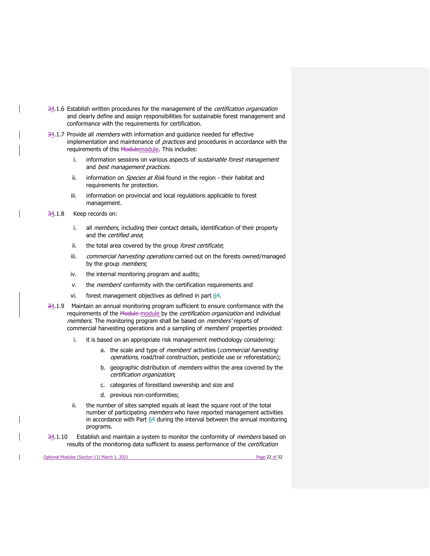- 34.1.6 Establish written procedures for the management of the *certification organization* and clearly define and assign responsibilities for sustainable forest management and conformance with the requirements for certification.
- $\frac{34}{17}$ .1.7 Provide all *members* with information and guidance needed for effective implementation and maintenance of *practices* and procedures in accordance with the requirements of this Modulemodule. This includes:
	- i. information sessions on various aspects of *sustainable forest management* and best management practices.
	- ii. information on *Species at Risk* found in the region their habitat and requirements for protection.
	- iii. information on provincial and local regulations applicable to forest management.
- 34.1.8 Keep records on:
	- i. all *members*, including their contact details, identification of their property and the *certified area*;
	- ii. the total area covered by the group forest certificate;
	- iii. *commercial harvesting operations* carried out on the forests owned/managed by the group *members*;
	- iv. the internal monitoring program and audits;
	- v. the *members'* conformity with the certification requirements and
	- vi. forest management objectives as defined in part 64.
- $34.1.9$  Maintain an annual monitoring program sufficient to ensure conformance with the requirements of the Module-module by the certification organization and individual members. The monitoring program shall be based on members' reports of commercial harvesting operations and a sampling of members' properties provided:
	- i. it is based on an appropriate risk management methodology considering:
		- a. the scale and type of members' activities (commercial harvesting operations, road/trail construction, pesticide use or reforestation);
		- b. geographic distribution of *members* within the area covered by the certification organization;
		- c. categories of forestland ownership and size and
		- d. previous non-conformities;
	- ii. the number of sites sampled equals at least the square root of the total number of participating members who have reported management activities in accordance with Part  $64$  during the interval between the annual monitoring programs.
- $34.1.10$  Establish and maintain a system to monitor the conformity of *members* based on results of the monitoring data sufficient to assess performance of the certification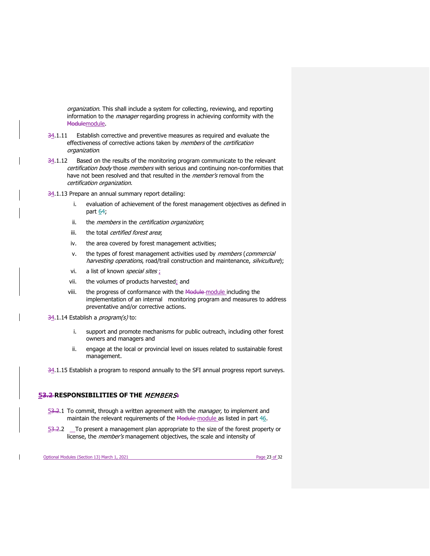organization. This shall include a system for collecting, reviewing, and reporting information to the *manager* regarding progress in achieving conformity with the Modulemodule.

- 34.1.11 Establish corrective and preventive measures as required and evaluate the effectiveness of corrective actions taken by *members* of the *certification* organization.
- $34.1.12$  Based on the results of the monitoring program communicate to the relevant certification body those members with serious and continuing non-conformities that have not been resolved and that resulted in the *member's* removal from the certification organization.
- 34.1.13 Prepare an annual summary report detailing:
	- i. evaluation of achievement of the forest management objectives as defined in part  $64$ ;
	- ii. the *members* in the *certification organization*;
	- iii. the total certified forest area;
	- iv. the area covered by forest management activities;
	- v. the types of forest management activities used by *members (commercial* harvesting operations, road/trail construction and maintenance, silviculture);
	- vi. a list of known *special sites*;
	- vii. the volumes of products harvested; and
	- viii. the progress of conformance with the Module-module including the implementation of an internal monitoring program and measures to address preventative and/or corrective actions.
- 34.1.14 Establish a *program(s)* to:
	- i. support and promote mechanisms for public outreach, including other forest owners and managers and
	- ii. engage at the local or provincial level on issues related to sustainable forest management.

34.1.15 Establish a program to respond annually to the SFI annual progress report surveys.

# **53.2 RESPONSIBILITIES OF THE** MEMBERS**:**

- $53.2.1$  To commit, through a written agreement with the *manager*, to implement and maintain the relevant requirements of the Module-module as listed in part 46.
- $53.2.2$   $\blacksquare$  To present a management plan appropriate to the size of the forest property or license, the *member's* management objectives, the scale and intensity of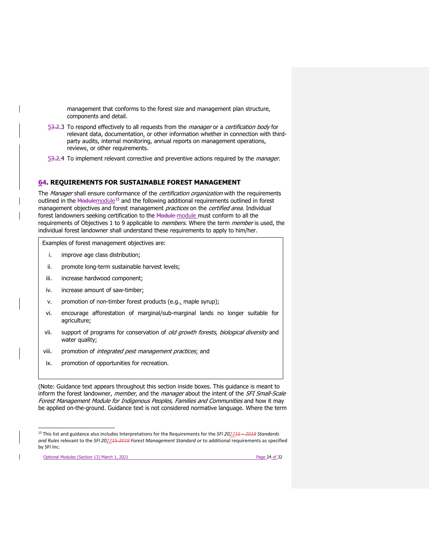management that conforms to the forest size and management plan structure, components and detail.

- 53.2.3 To respond effectively to all requests from the *manager* or a *certification body* for relevant data, documentation, or other information whether in connection with thirdparty audits, internal monitoring, annual reports on management operations, reviews, or other requirements.
- 53.2.4 To implement relevant corrective and preventive actions required by the *manager*.

# **64. REQUIREMENTS FOR SUSTAINABLE FOREST MANAGEMENT**

The Manager shall ensure conformance of the certification organization with the requirements outlined in the Modulemodule<sup>[15](#page-23-0)</sup> and the following additional requirements outlined in forest management objectives and forest management practices on the certified area. Individual forest landowners seeking certification to the Module-module must conform to all the requirements of Objectives 1 to 9 applicable to *members*. Where the term *member* is used, the individual forest landowner shall understand these requirements to apply to him/her.

Examples of forest management objectives are:

- i. improve age class distribution;
- ii. promote long-term sustainable harvest levels;
- iii. increase hardwood component;
- iv. increase amount of saw-timber;
- v. promotion of non-timber forest products (e.g., maple syrup);
- vi. encourage afforestation of marginal/sub-marginal lands no longer suitable for agriculture;
- vii. support of programs for conservation of old growth forests, biological diversity and water quality;
- viii. promotion of *integrated pest management practices*<sup>2</sup> and
- ix. promotion of opportunities for recreation.

(Note: Guidance text appears throughout this section inside boxes. This guidance is meant to inform the forest landowner, member, and the manager about the intent of the SFI Small-Scale Forest Management Module for Indigenous Peoples, Families and Communities and how it may be applied on-the-ground. Guidance text is not considered normative language. Where the term

<span id="page-23-0"></span><sup>15</sup> This list and guidance also includes Interpretations for the Requirements for the *SFI 202215 – 2019 Standards and Rules* relevant to the *SFI 202215-2019 Forest Management Standard* or to additional requirements as specified by SFI Inc.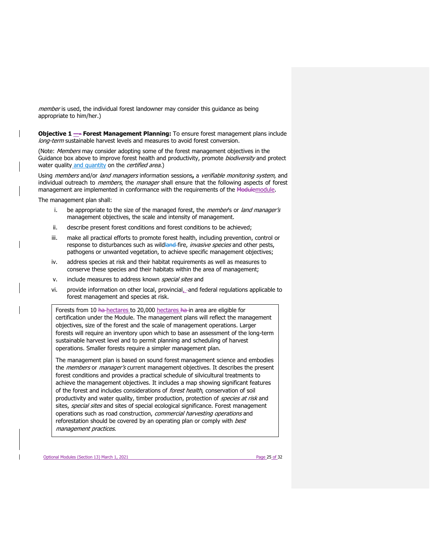member is used, the individual forest landowner may consider this quidance as being appropriate to him/her.)

**Objective 1 —- Forest Management Planning:** To ensure forest management plans include long-term sustainable harvest levels and measures to avoid forest conversion.

(Note: Members may consider adopting some of the forest management objectives in the Guidance box above to improve forest health and productivity, promote *biodiversity* and protect water quality and quantity on the *certified area*.)

Using members and/or land managers information sessions**,** a verifiable monitoring system, and individual outreach to *members*, the *manager* shall ensure that the following aspects of forest management are implemented in conformance with the requirements of the Modulemodule.

The management plan shall:

- i. be appropriate to the size of the managed forest, the *member's* or *land manager's* management objectives, the scale and intensity of management.
- ii. describe present forest conditions and forest conditions to be achieved;
- iii. make all practical efforts to promote forest health, including prevention, control or response to disturbances such as wildland-fire, *invasive species* and other pests, pathogens or unwanted vegetation, to achieve specific management objectives;
- iv. address species at risk and their habitat requirements as well as measures to conserve these species and their habitats within the area of management;
- v. include measures to address known *special sites* and
- vi. provide information on other local, provincial, -and federal regulations applicable to forest management and species at risk.

Forests from 10 ha hectares to 20,000 hectares ha in area are eligible for certification under the Module. The management plans will reflect the management objectives, size of the forest and the scale of management operations. Larger forests will require an inventory upon which to base an assessment of the long-term sustainable harvest level and to permit planning and scheduling of harvest operations. Smaller forests require a simpler management plan.

The management plan is based on sound forest management science and embodies the *members* or *manager's* current management objectives. It describes the present forest conditions and provides a practical schedule of silvicultural treatments to achieve the management objectives. It includes a map showing significant features of the forest and includes considerations of forest health, conservation of soil productivity and water quality, timber production, protection of *species at risk* and sites, special sites and sites of special ecological significance. Forest management operations such as road construction, *commercial harvesting operations* and reforestation should be covered by an operating plan or comply with best management practices.

Optional Modules (Section 13) March 1, 2021 **Page 25 of 32** Page 25 of 32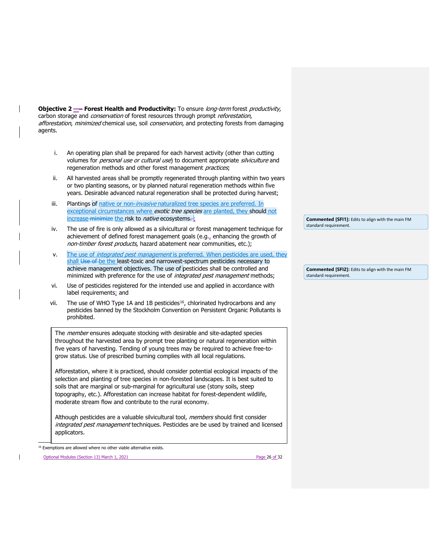**Objective 2 —– Forest Health and Productivity:** To ensure long-term forest productivity, carbon storage and conservation of forest resources through prompt reforestation, afforestation, minimized chemical use, soil conservation, and protecting forests from damaging agents.

- i. An operating plan shall be prepared for each harvest activity (other than cutting volumes for *personal use or cultural use*) to document appropriate silviculture and regeneration methods and other forest management practices;
- ii. All harvested areas shall be promptly regenerated through planting within two years or two planting seasons, or by planned natural regeneration methods within five years. Desirable advanced natural regeneration shall be protected during harvest;
- iii. Plantings of native or non-*invasive* naturalized tree species are preferred. In exceptional circumstances where *exotic tree species* are planted, they should not increase minimize the risk to *native* ecosystems.
- iv. The use of fire is only allowed as a silvicultural or forest management technique for achievement of defined forest management goals (e.g., enhancing the growth of non-timber forest products, hazard abatement near communities, etc.);
- v. The use of *integrated pest management* is preferred. When pesticides are used, they shall Use of be the least-toxic and narrowest-spectrum pesticides necessary to achieve management objectives. The use of pesticides shall be controlled and minimized with preference for the use of *integrated pest management* methods;
- vi. Use of pesticides registered for the intended use and applied in accordance with label requirements; and
- vii. The use of WHO Type 1A and 1B pesticides<sup>[16](#page-25-0)</sup>, chlorinated hydrocarbons and any pesticides banned by the Stockholm Convention on Persistent Organic Pollutants is prohibited.

The *member* ensures adequate stocking with desirable and site-adapted species throughout the harvested area by prompt tree planting or natural regeneration within five years of harvesting. Tending of young trees may be required to achieve free-togrow status. Use of prescribed burning complies with all local regulations.

Afforestation, where it is practiced, should consider potential ecological impacts of the selection and planting of tree species in non-forested landscapes. It is best suited to soils that are marginal or sub-marginal for agricultural use (stony soils, steep topography, etc.). Afforestation can increase habitat for forest-dependent wildlife, moderate stream flow and contribute to the rural economy.

Although pesticides are a valuable silvicultural tool, *members* should first consider integrated pest management techniques. Pesticides are be used by trained and licensed applicators.

 $16$  Exemptions are allowed where no other viable alternative exists.

<span id="page-25-0"></span>Optional Modules (Section 13) March 1, 2021 **Page 26 of 32** Page 26 of 32

**Commented [SFI1]:** Edits to align with the main FM standard requirement.

**Commented [SFI2]:** Edits to align with the main FM standard requirement.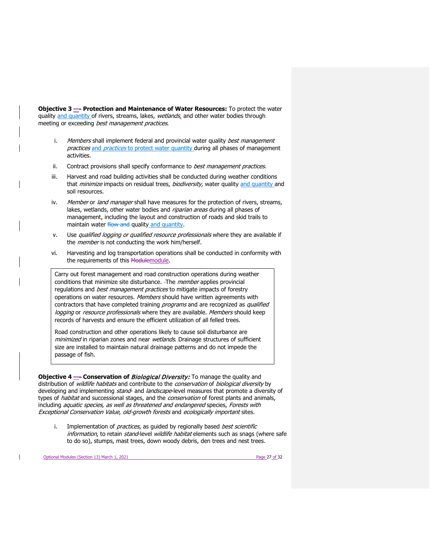**Objective 3 —- Protection and Maintenance of Water Resources:** To protect the water quality and quantity of rivers, streams, lakes, wetlands, and other water bodies through meeting or exceeding best management practices.

- i. Members shall implement federal and provincial water quality best management practices and practices to protect water quantity during all phases of management activities.
- ii. Contract provisions shall specify conformance to best management practices.
- iii. Harvest and road building activities shall be conducted during weather conditions that minimize impacts on residual trees, biodiversity, water quality and quantity and soil resources.
- iv. Member or land manager shall have measures for the protection of rivers, streams, lakes, wetlands, other water bodies and *riparian areas* during all phases of management, including the layout and construction of roads and skid trails to maintain water flow and quality and quantity.
- v. Use qualified logging or qualified resource professionals where they are available if the *member* is not conducting the work him/herself.
- vi. Harvesting and log transportation operations shall be conducted in conformity with the requirements of this Modulemodule.

Carry out forest management and road construction operations during weather conditions that minimize site disturbance. -The *member* applies provincial regulations and *best management practices* to mitigate impacts of forestry operations on water resources. Members should have written agreements with contractors that have completed training programs and are recognized as qualified logging or resource professionals where they are available. Members should keep records of harvests and ensure the efficient utilization of all felled trees.

Road construction and other operations likely to cause soil disturbance are minimized in riparian zones and near wetlands. Drainage structures of sufficient size are installed to maintain natural drainage patterns and do not impede the passage of fish.

**Objective 4 —- Conservation of** *Biological Diversity:* **To manage the quality and** distribution of *wildlife habitats* and contribute to the *conservation* of *biological diversity* by developing and implementing stand- and landscape-level measures that promote a diversity of types of *habitat* and successional stages, and the *conservation* of forest plants and animals, including aquatic species, as well as threatened and endangered species, Forests with Exceptional Conservation Value, old-growth forests and ecologically important sites.

i. Implementation of *practices*, as guided by regionally based *best scientific* information, to retain stand-level *wildlife habitat* elements such as snags (where safe to do so), stumps, mast trees, down woody debris, den trees and nest trees.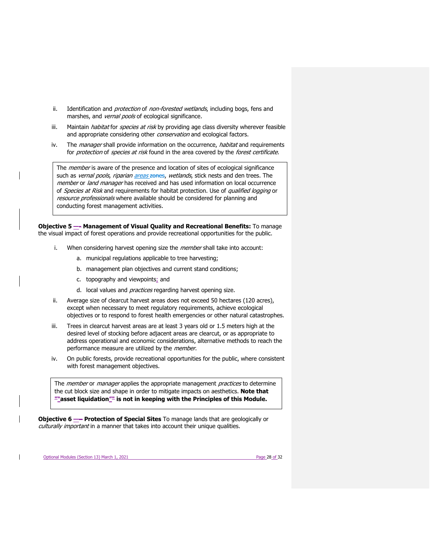- ii. Identification and *protection* of non-forested wetlands, including bogs, fens and marshes, and vernal pools of ecological significance.
- iii. Maintain *habitat* for *species at risk* by providing age class diversity wherever feasible and appropriate considering other conservation and ecological factors.
- iv. The *manager* shall provide information on the occurrence, *habitat* and requirements for protection of species at risk found in the area covered by the forest certificate.

The *member* is aware of the presence and location of sites of ecological significance such as vernal pools, riparian areas zones, wetlands, stick nests and den trees. The member or land manager has received and has used information on local occurrence of *Species at Risk* and requirements for habitat protection. Use of *qualified logging* or resource professionals where available should be considered for planning and conducting forest management activities.

**Objective 5 —- Management of Visual Quality and Recreational Benefits:** To manage the visual impact of forest operations and provide recreational opportunities for the public.

- i. When considering harvest opening size the *member* shall take into account:
	- a. municipal regulations applicable to tree harvesting;
	- b. management plan objectives and current stand conditions;
	- c. topography and viewpoints; and
	- d. local values and *practices* regarding harvest opening size.
- ii. Average size of clearcut harvest areas does not exceed 50 hectares (120 acres), except when necessary to meet regulatory requirements, achieve ecological objectives or to respond to forest health emergencies or other natural catastrophes.
- iii. Trees in clearcut harvest areas are at least 3 years old or 1.5 meters high at the desired level of stocking before adjacent areas are clearcut, or as appropriate to address operational and economic considerations, alternative methods to reach the performance measure are utilized by the *member*.
- iv. On public forests, provide recreational opportunities for the public, where consistent with forest management objectives.

The *member* or *manager* applies the appropriate management *practices* to determine the cut block size and shape in order to mitigate impacts on aesthetics. **Note that ""asset liquidation"" is not in keeping with the Principles of this Module.**

**Objective 6 —– Protection of Special Sites** To manage lands that are geologically or culturally important in a manner that takes into account their unique qualities.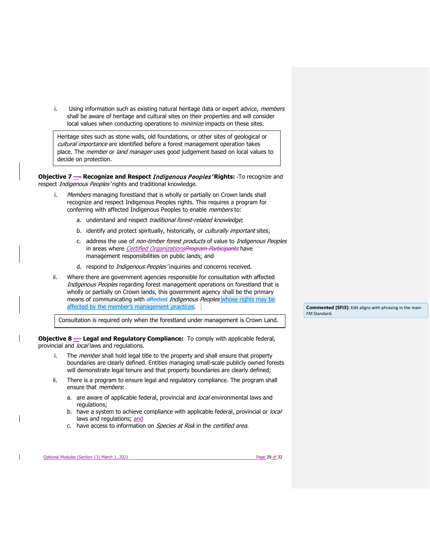i. Using information such as existing natural heritage data or expert advice, *members* shall be aware of heritage and cultural sites on their properties and will consider local values when conducting operations to *minimize* impacts on these sites.

Heritage sites such as stone walls, old foundations, or other sites of geological or cultural importance are identified before a forest management operation takes place. The *member* or *land manager* uses good judgement based on local values to decide on protection.

**Objective 7 - Recognize and Respect Indigenous Peoples' Rights: - To recognize and** respect Indigenous Peoples' rights and traditional knowledge.

- i. Members managing forestland that is wholly or partially on Crown lands shall recognize and respect Indigenous Peoples rights. This requires a program for conferring with affected Indigenous Peoples to enable *members* to:
	- a. understand and respect traditional forest-related knowledge;
	- b. identify and protect spiritually, historically, or *culturally important* sites;
	- c. address the use of non-timber forest products of value to Indigenous Peoples in areas where Certified OrganizationsProgram Participants have management responsibilities on public lands; and
	- d. respond to *Indigenous Peoples'* inquiries and concerns received.
- ii. Where there are government agencies responsible for consultation with affected Indigenous Peoples regarding forest management operations on forestland that is wholly or partially on Crown lands, this government agency shall be the primary means of communicating with affected Indigenous Peoples whose rights may be affected by the member's management practices.

Consultation is required only when the forestland under management is Crown Land.

**Objective 8 —- Legal and Regulatory Compliance:** To comply with applicable federal, provincial and local laws and regulations.

- i. The *member* shall hold legal title to the property and shall ensure that property boundaries are clearly defined. Entities managing small-scale publicly owned forests will demonstrate legal tenure and that property boundaries are clearly defined;
- ii. There is a program to ensure legal and regulatory compliance. The program shall ensure that *members*:
	- a. are aware of applicable federal, provincial and local environmental laws and regulations;
	- b. have a system to achieve compliance with applicable federal, provincial or *local* laws and regulations; and
	- c. have access to information on Species at Risk in the certified area.

**Commented [SFI3]:** Edit aligns with phrasing in the main FM Standard.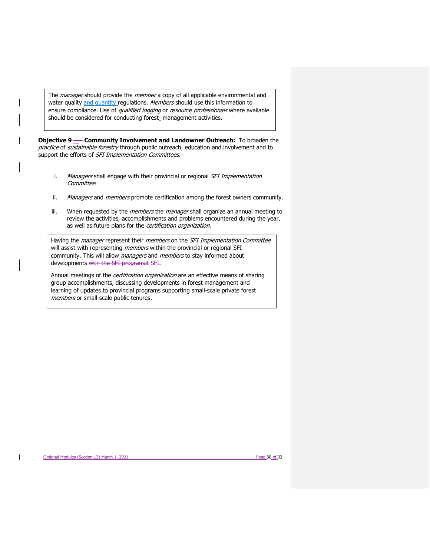The *manager* should provide the *member* a copy of all applicable environmental and water quality and quantity regulations. Members should use this information to ensure compliance. Use of qualified logging or resource professionals where available should be considered for conducting forest-management activities.

**Objective 9 —– Community Involvement and Landowner Outreach:** To broaden the practice of sustainable forestry through public outreach, education and involvement and to support the efforts of SFI Implementation Committees.

- i. Managers shall engage with their provincial or regional SFI Implementation Committee.
- ii. Managers and members promote certification among the forest owners community.
- iii. When requested by the *members* the *manager* shall organize an annual meeting to review the activities, accomplishments and problems encountered during the year, as well as future plans for the certification organization.

Having the *manager* represent their *members* on the SFI Implementation Committee will assist with representing *members* within the provincial or regional SFI community. This will allow *managers* and *members* to stay informed about developments with the SFI programat SFI.

Annual meetings of the *certification organization* are an effective means of sharing group accomplishments, discussing developments in forest management and learning of updates to provincial programs supporting small-scale private forest members or small-scale public tenures.

 $\mathbf{I}$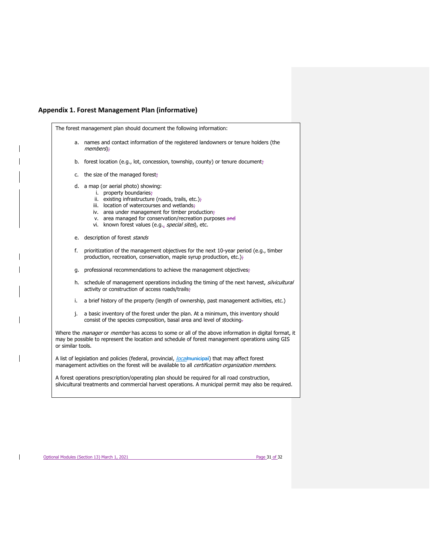



 $\mathbf l$